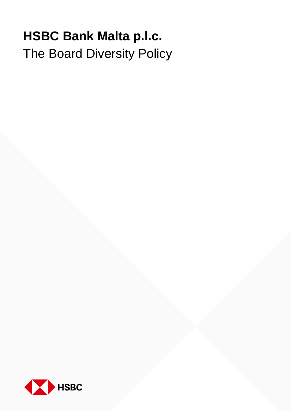## **HSBC Bank Malta p.l.c.** The Board Diversity Policy